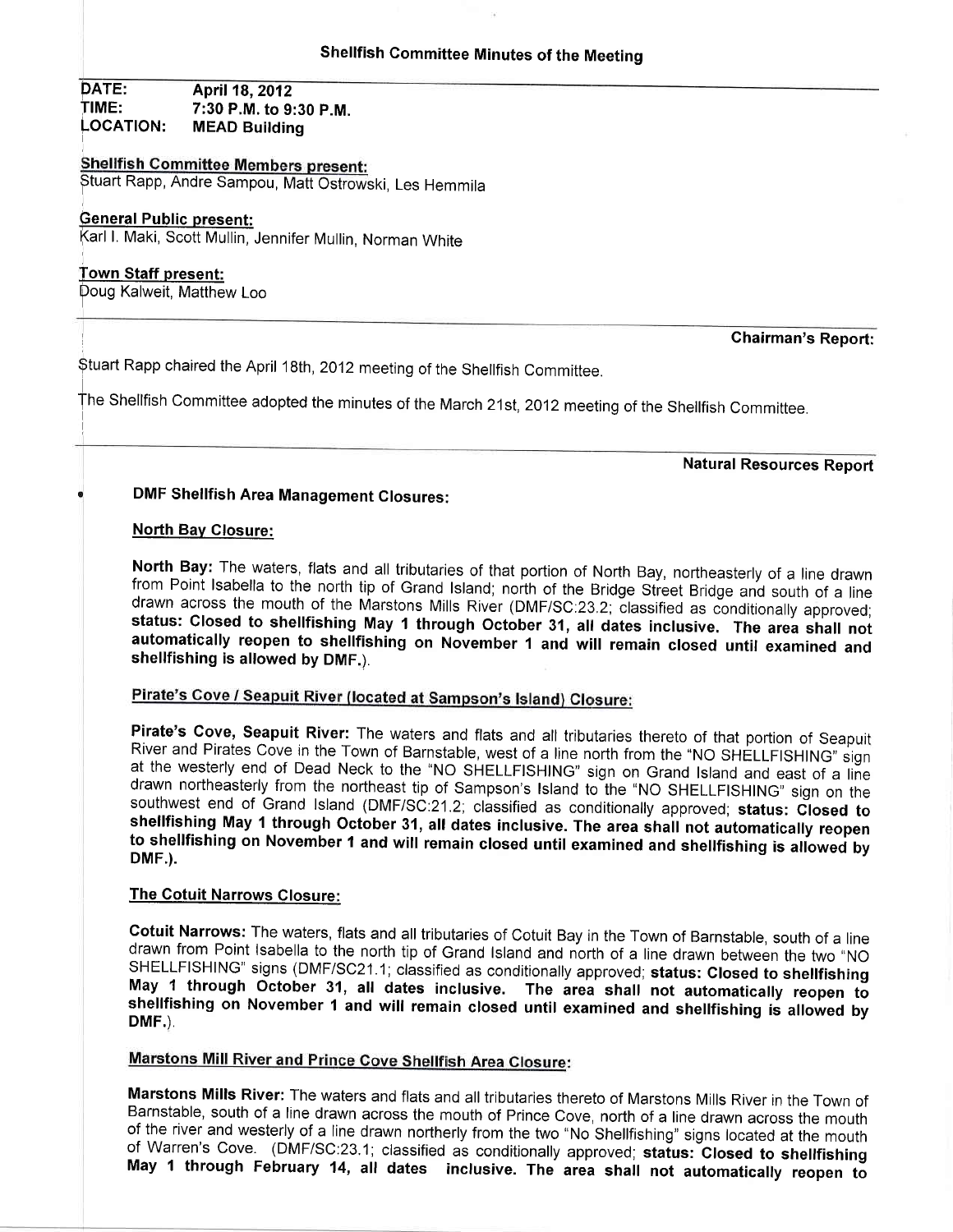DATE: **April 18, 2012** TIME: LOCATION: 7:30 P.M. to 9:30 P.M. MEAD Building

Shellfish Committee Members present:<br>Stuart Rapp, Andre Sampou, Matt Ostrowski, Les Hemmila

#### **General Public present:**

farl L Maki, Scott Mullin, Jennifer Mullin, Norman White

#### Town Staff present:

poug Kalweit, Matthew Loo

#### Chairman's Report:

Stuart Rapp chaired the April 18th, 2012 meeting of the Shellfish Committee.

The Shellfish Committee adopted the minutes of the March 21st, 2012 meeting of the Shellfish Committee.

Natural Resources Report

# DMF Shellfish Area Management Closures:

#### **North Bay Closure:**

North Bay: The waters, flats and all tributaries of that portion of North Bay, northeasterly of a line drawn<br>from Point Isabella to the north tip of Grand Island; north of the Bridge Street Bridge and south of a line<br>drawn automatically reopen to shellfishing on November 1 and will remain closed until examined and shellfishing is allowed by DMF.).

# Pirate's Cove / Seapuit River (located at Sampson's Island) Closure:

Pirate's Cove, Seapuit River: The waters and flats and all tributaries thereto of that portion of Seapuit River and Pirates Cove in the Town of Barnstable, west of a line north from the "NO SHELLFISHING" sign at the wester

### The Gotuit Narrows Closure:

Cotuit Narrows: The waters, flats and all tributaries of Cotuit Bay in the Town of Barnstable, south of a line<br>drawn from Point Isabella to the north tip of Grand Island and north of a line drawn between the two "NO<br>SHELLF May 1 through October 31, all dates inclusive. The area shall not automatically reopen to shellfishing on November 1 and will remain closed until examined and shellfishing is allowed by DMF.)

# **Marstons Mill River and Prince Cove Shellfish Area Closure:**

**Marstons Mills River:** The waters and flats and all tributaries thereto of Marstons Mills River in the Town of Barnstable, south of a line drawn across the mouth of Prince Cove, north of a line drawn across the mouth of t May 1 through February 14, all dates inclusive. The area shall not automatically reopen to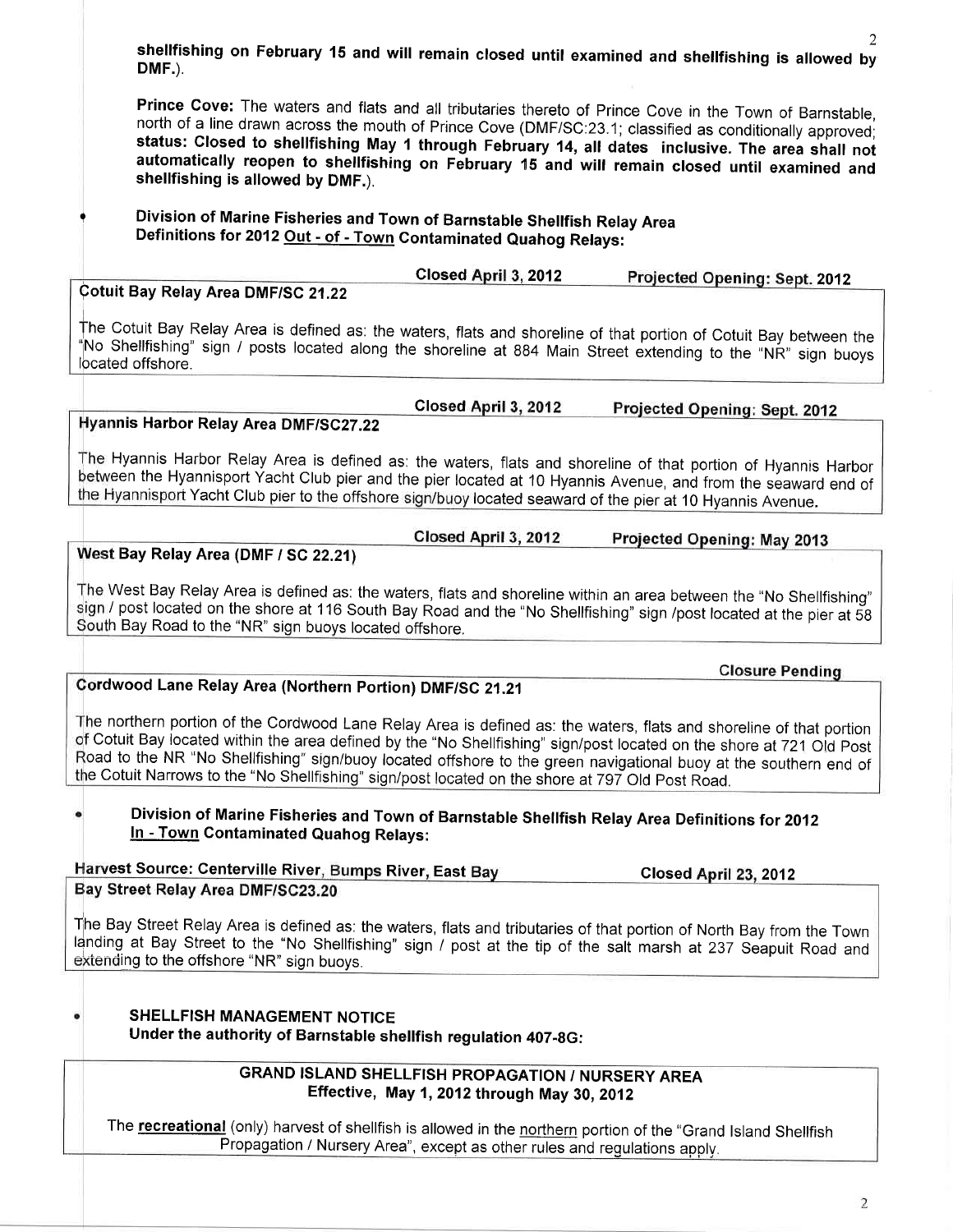shellfishing on February 15 and will remain closed until examined and shellfishing is allowed by<br>DMF.)

Prince Cove: The waters and flats and all tributaries thereto of Prince Cove in the Town of Barnstable, north of a line drawn across the mouth of Prince Cove (DMF/SC:23.1; classified as conditionally approved; status: Clos

# Division of Marine Fisheries and Town of Barnstable Shellfish Relay Area<br>Definitions for 2012 Out - of - Town Contaminated Quahog Relays:

Closed April 3, 2012 Cotuit Bay Relay Area DMF/SC 21.22

The Cotuit Bay Relay Area is defined as: the waters, flats and shoreline of that portion of Cotuit Bay between the "No Shellfishing" sign / posts located along the shoreline at 884 Main Street extending to the "NR" sign buoys<br>located offshore.

Closed April 3, 2012

Hyannis Harbor Relay Area DMF/SC27.22

?

The Hyannis Harbor Relay Area is defined as: the waters, flats and shoreline of that portion of Hyannis Harbor<br>between the Hyannisport Yacht Club pier and the pier located at 10 Hyannis Avenue, and from the seaward end of the Hyannisport Yacht Club pier to the offshore sign/buoy located seaward of the pier at 10 Hyannis Avenue.

> Closed April 3, 2012 Projected Opening: May 2013

Projected Opening: Sept. 2012

Projected Opening: Sept. 2012

**Closure Pending** 

West Bay Relay Area (DMF / SC 22.21)

The West Bay Relay Area is defined as: the waters, flats and shoreline within an area between the "No Shellfishing" sign / post located on the shore at 116 South Bay Road and the "No Shellfishing" sign /post located at the pier at 58 South Bay Road to the "NR" sign buoys located offshore.

# Cordwood Lane Relay Area (Northern Portion) DMF/SC 21.21

The northern portion of the Cordwood Lane Relay Area is defined as: the waters, flats and shoreline of that portion<br>of Cotuit Bay located within the area defined by the "No Shellfishing" sign/post located on the shore at 7 Road to the NR "No Shellfishing" sign/buoy located offshore to the green navigational buoy at the southern end of e Cotuit Narrows to the "No Shellfishing" sign/post located on the shore at 797 Old post Road.

## Division of Marine Fisheries and Town of Barnstable Shellfish Relay Area Definitions for 2012 In - Town Contaminated Quahog Relays:

Harvest Source: Centerville River, Bumps River, East Bay<br>Bav Street Relay Area DMF/SC23.20 Closed April 23, 2012

The Bay Street Relay Area is defined as: the waters, flats and tributaries of that portion of North Bay from the Town landing at Bay Street to the "No Shellfishing" sign / post at the tip of the salt marsh at 237 Seapuit Road and<br>extending to the offshore "NR" sign buoys.

SHELLFISH MANAGEMENT NOTICE Under the authority of Barnstable shellfish regulation 407-8G:

### GRAND ISLAND SHELLFISH PROPAGATION / NURSERY AREA Effective, May 1, 2012 through May 30, 2012

The recreational (only) harvest of shellfish is allowed in the northern portion of the "Grand Island Shellfish Propagation / Nursery Area", except as other rules and regulations apply.